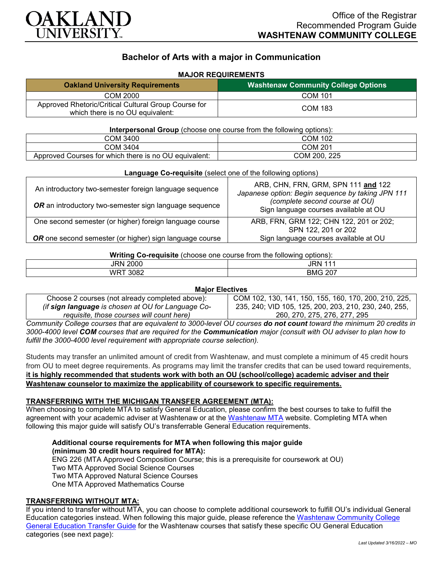

# **Bachelor of Arts with a major in Communication**

## **MAJOR REQUIREMENTS**

| <b>Oakland University Requirements</b>                                                   | <b>Washtenaw Community College Options</b> |
|------------------------------------------------------------------------------------------|--------------------------------------------|
| COM 2000                                                                                 | COM 101                                    |
| Approved Rhetoric/Critical Cultural Group Course for<br>which there is no OU equivalent: | <b>COM 183</b>                             |

#### **Interpersonal Group** (choose one course from the following options):

| COM 3400                                                   | COM 102         |
|------------------------------------------------------------|-----------------|
| COM 3404                                                   | COM 201         |
| Approved Courses for which there is no OU<br>l equivalent: | 225<br>COM 200. |

| <b>Language Co-requisite</b> (select one of the following options) |                                                                                          |  |
|--------------------------------------------------------------------|------------------------------------------------------------------------------------------|--|
| An introductory two-semester foreign language sequence             | ARB, CHN, FRN, GRM, SPN 111 and 122<br>Japanese option: Begin sequence by taking JPN 111 |  |
| OR an introductory two-semester sign language sequence             | (complete second course at OU)<br>Sign language courses available at OU                  |  |
| One second semester (or higher) foreign language course            | ARB, FRN, GRM 122; CHN 122, 201 or 202;<br>SPN 122, 201 or 202                           |  |
| OR one second semester (or higher) sign language course            | Sign language courses available at OU                                                    |  |

## **Writing Co-requisite** (choose one course from the following options):

| __                 |                             |
|--------------------|-----------------------------|
| 'RN<br>2000        | JRN.                        |
| 3082<br>WRT<br>∟טי | <b>BMG</b><br>$\sim$<br>ZU. |
|                    |                             |

## **Major Electives**

| Choose 2 courses (not already completed above):    | COM 102, 130, 141, 150, 155, 160, 170, 200, 210, 225, |
|----------------------------------------------------|-------------------------------------------------------|
| (if sign language is chosen at OU for Language Co- | 235, 240; VID 105, 125, 200, 203, 210, 230, 240, 255, |
| requisite, those courses will count here)          | 260, 270, 275, 276, 277, 295                          |

*Community College courses that are equivalent to 3000-level OU courses do not count toward the minimum 20 credits in 3000-4000 level COM courses that are required for the Communication major (consult with OU adviser to plan how to fulfill the 3000-4000 level requirement with appropriate course selection).*

Students may transfer an unlimited amount of credit from Washtenaw, and must complete a minimum of 45 credit hours from OU to meet degree requirements. As programs may limit the transfer credits that can be used toward requirements, **it is highly recommended that students work with both an OU (school/college) academic adviser and their Washtenaw counselor to maximize the applicability of coursework to specific requirements.**

## **TRANSFERRING WITH THE MICHIGAN TRANSFER AGREEMENT (MTA):**

When choosing to complete MTA to satisfy General Education, please confirm the best courses to take to fulfill the agreement with your academic adviser at Washtenaw or at the [Washtenaw MTA](https://www.wccnet.edu/learn/transfer-wcc-credits/mta.php) website. Completing MTA when following this major guide will satisfy OU's transferrable General Education requirements.

**Additional course requirements for MTA when following this major guide (minimum 30 credit hours required for MTA):** ENG 226 (MTA Approved Composition Course; this is a prerequisite for coursework at OU) Two MTA Approved Social Science Courses Two MTA Approved Natural Science Courses One MTA Approved Mathematics Course

## **TRANSFERRING WITHOUT MTA:**

If you intend to transfer without MTA, you can choose to complete additional coursework to fulfill OU's individual General Education categories instead. When following this major guide, please reference the [Washtenaw Community College](https://www.oakland.edu/Assets/Oakland/program-guides/washtenaw-community-college/university-general-education-requirements/Washtenaw%20Gen%20Ed.pdf)  General [Education Transfer Guide](https://www.oakland.edu/Assets/Oakland/program-guides/washtenaw-community-college/university-general-education-requirements/Washtenaw%20Gen%20Ed.pdf) for the Washtenaw courses that satisfy these specific OU General Education categories (see next page):